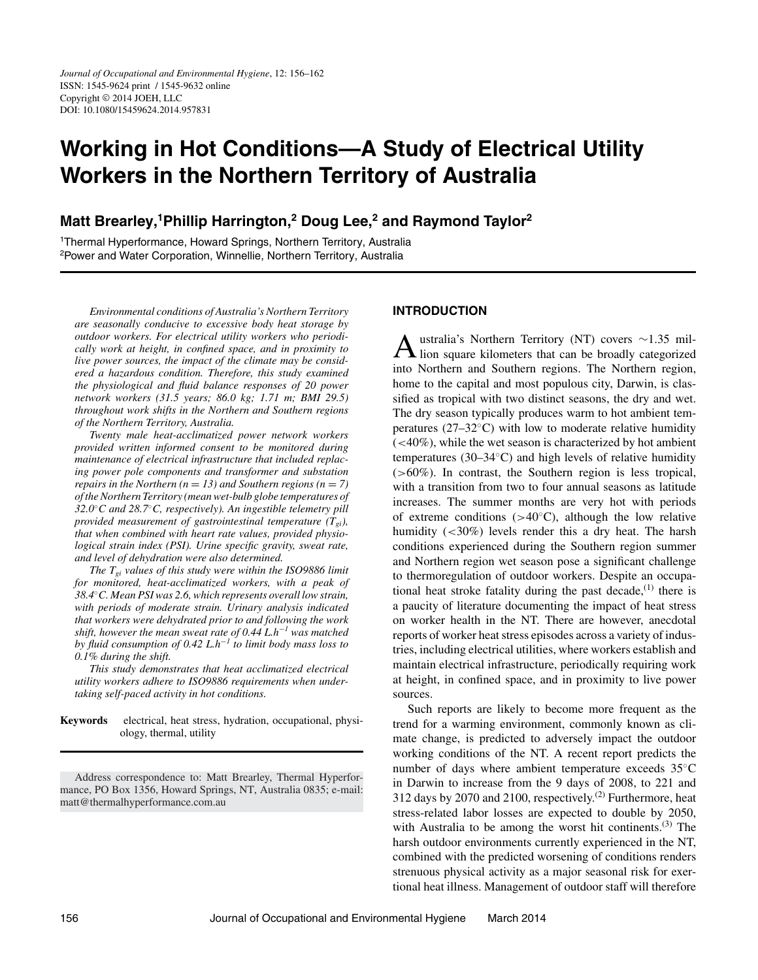# **Working in Hot Conditions—A Study of Electrical Utility Workers in the Northern Territory of Australia**

## **Matt Brearley,1Phillip Harrington,2 Doug Lee,2 and Raymond Taylor<sup>2</sup>**

<sup>1</sup>Thermal Hyperformance, Howard Springs, Northern Territory, Australia 2Power and Water Corporation, Winnellie, Northern Territory, Australia

*Environmental conditions of Australia's Northern Territory are seasonally conducive to excessive body heat storage by outdoor workers. For electrical utility workers who periodically work at height, in confined space, and in proximity to live power sources, the impact of the climate may be considered a hazardous condition. Therefore, this study examined the physiological and fluid balance responses of 20 power network workers (31.5 years; 86.0 kg; 1.71 m; BMI 29.5) throughout work shifts in the Northern and Southern regions of the Northern Territory, Australia.*

*Twenty male heat-acclimatized power network workers provided written informed consent to be monitored during maintenance of electrical infrastructure that included replacing power pole components and transformer and substation repairs in the Northern* ( $n = 13$ ) and Southern regions ( $n = 7$ ) *of the Northern Territory (mean wet-bulb globe temperatures of 32.0*◦*C and 28.7*◦*C, respectively). An ingestible telemetry pill provided measurement of gastrointestinal temperature*  $(T_{gi})$ *, that when combined with heart rate values, provided physiological strain index (PSI). Urine specific gravity, sweat rate, and level of dehydration were also determined.*

*The Tgi values of this study were within the ISO9886 limit for monitored, heat-acclimatized workers, with a peak of 38.4*◦*C. Mean PSI was 2.6, which represents overall low strain, with periods of moderate strain. Urinary analysis indicated that workers were dehydrated prior to and following the work shift, however the mean sweat rate of 0.44 L.h*−*<sup>1</sup> was matched by fluid consumption of 0.42 L.h*−*<sup>1</sup> to limit body mass loss to 0.1% during the shift.*

*This study demonstrates that heat acclimatized electrical utility workers adhere to ISO9886 requirements when undertaking self-paced activity in hot conditions.*

**Keywords** electrical, heat stress, hydration, occupational, physiology, thermal, utility

## **INTRODUCTION**

Australia's Northern Territory (NT) covers <sup>∼</sup>1.35 mil-lion square kilometers that can be broadly categorized into Northern and Southern regions. The Northern region, home to the capital and most populous city, Darwin, is classified as tropical with two distinct seasons, the dry and wet. The dry season typically produces warm to hot ambient temperatures ( $27-32°C$ ) with low to moderate relative humidity (*<*40%), while the wet season is characterized by hot ambient temperatures (30–34◦C) and high levels of relative humidity (*>*60%). In contrast, the Southern region is less tropical, with a transition from two to four annual seasons as latitude increases. The summer months are very hot with periods of extreme conditions (*>*40◦C), although the low relative humidity (*<*30%) levels render this a dry heat. The harsh conditions experienced during the Southern region summer and Northern region wet season pose a significant challenge to thermoregulation of outdoor workers. Despite an occupational heat stroke fatality during the past decade,  $(1)$  there is a paucity of literature documenting the impact of heat stress on worker health in the NT. There are however, anecdotal reports of worker heat stress episodes across a variety of industries, including electrical utilities, where workers establish and maintain electrical infrastructure, periodically requiring work at height, in confined space, and in proximity to live power sources.

Such reports are likely to become more frequent as the trend for a warming environment, commonly known as climate change, is predicted to adversely impact the outdoor working conditions of the NT. A recent report predicts the number of days where ambient temperature exceeds 35◦C in Darwin to increase from the 9 days of 2008, to 221 and 312 days by 2070 and 2100, respectively.<sup>(2)</sup> Furthermore, heat stress-related labor losses are expected to double by 2050, with Australia to be among the worst hit continents. $(3)$  The harsh outdoor environments currently experienced in the NT, combined with the predicted worsening of conditions renders strenuous physical activity as a major seasonal risk for exertional heat illness. Management of outdoor staff will therefore

Address correspondence to: Matt Brearley, Thermal Hyperformance, PO Box 1356, Howard Springs, NT, Australia 0835; e-mail: matt@thermalhyperformance.com.au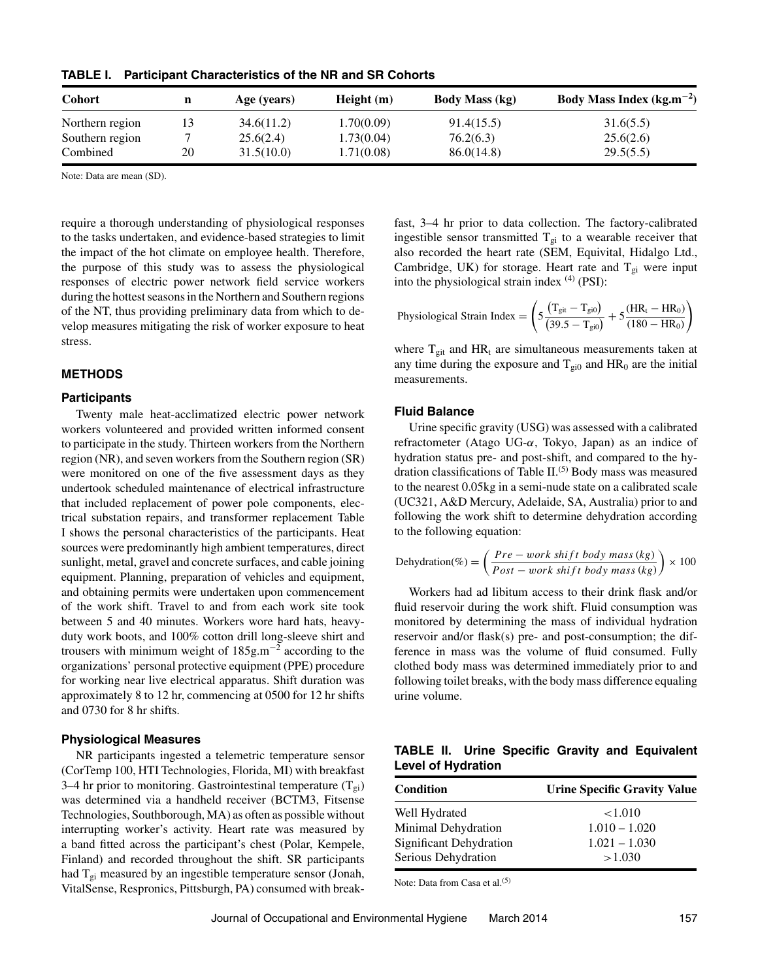| <b>Cohort</b>   | n  | Age (years) | Height(m)  | <b>Body Mass (kg)</b> | Body Mass Index (kg.m <sup><math>-2</math></sup> ) |
|-----------------|----|-------------|------------|-----------------------|----------------------------------------------------|
| Northern region |    | 34.6(11.2)  | 1.70(0.09) | 91.4(15.5)            | 31.6(5.5)                                          |
| Southern region |    | 25.6(2.4)   | 1.73(0.04) | 76.2(6.3)             | 25.6(2.6)                                          |
| Combined        | 20 | 31.5(10.0)  | 1.71(0.08) | 86.0(14.8)            | 29.5(5.5)                                          |

**TABLE I. Participant Characteristics of the NR and SR Cohorts**

Note: Data are mean (SD).

require a thorough understanding of physiological responses to the tasks undertaken, and evidence-based strategies to limit the impact of the hot climate on employee health. Therefore, the purpose of this study was to assess the physiological responses of electric power network field service workers during the hottest seasons in the Northern and Southern regions of the NT, thus providing preliminary data from which to develop measures mitigating the risk of worker exposure to heat stress.

## **METHODS**

#### **Participants**

Twenty male heat-acclimatized electric power network workers volunteered and provided written informed consent to participate in the study. Thirteen workers from the Northern region (NR), and seven workers from the Southern region (SR) were monitored on one of the five assessment days as they undertook scheduled maintenance of electrical infrastructure that included replacement of power pole components, electrical substation repairs, and transformer replacement Table I shows the personal characteristics of the participants. Heat sources were predominantly high ambient temperatures, direct sunlight, metal, gravel and concrete surfaces, and cable joining equipment. Planning, preparation of vehicles and equipment, and obtaining permits were undertaken upon commencement of the work shift. Travel to and from each work site took between 5 and 40 minutes. Workers wore hard hats, heavyduty work boots, and 100% cotton drill long-sleeve shirt and trousers with minimum weight of  $185g.m^{-2}$  according to the organizations' personal protective equipment (PPE) procedure for working near live electrical apparatus. Shift duration was approximately 8 to 12 hr, commencing at 0500 for 12 hr shifts and 0730 for 8 hr shifts.

## **Physiological Measures**

NR participants ingested a telemetric temperature sensor (CorTemp 100, HTI Technologies, Florida, MI) with breakfast 3–4 hr prior to monitoring. Gastrointestinal temperature  $(T_{gi})$ was determined via a handheld receiver (BCTM3, Fitsense Technologies, Southborough, MA) as often as possible without interrupting worker's activity. Heart rate was measured by a band fitted across the participant's chest (Polar, Kempele, Finland) and recorded throughout the shift. SR participants had  $T_{gi}$  measured by an ingestible temperature sensor (Jonah, VitalSense, Respronics, Pittsburgh, PA) consumed with breakfast, 3–4 hr prior to data collection. The factory-calibrated ingestible sensor transmitted  $T_{gi}$  to a wearable receiver that also recorded the heart rate (SEM, Equivital, Hidalgo Ltd., Cambridge, UK) for storage. Heart rate and  $T_{gi}$  were input into the physiological strain index  $(4)$  (PSI):

$$
Physical\;Strain\;Index = \left(5\frac{\left(T_{git}-T_{gi0}\right)}{\left(39.5-T_{gi0}\right)}+5\frac{\left(HR_t-HR_0\right)}{\left(180-HR_0\right)}\right)
$$

where  $T_{\text{git}}$  and  $HR_t$  are simultaneous measurements taken at any time during the exposure and  $T_{gi0}$  and  $HR_0$  are the initial measurements.

#### **Fluid Balance**

Urine specific gravity (USG) was assessed with a calibrated refractometer (Atago UG-*α*, Tokyo, Japan) as an indice of hydration status pre- and post-shift, and compared to the hydration classifications of Table  $II^{(5)}$  Body mass was measured to the nearest 0.05kg in a semi-nude state on a calibrated scale (UC321, A&D Mercury, Adelaide, SA, Australia) prior to and following the work shift to determine dehydration according to the following equation:

$$
Dehydration(\%) = \left(\frac{Pre - work shift body mass (kg)}{Post - work shift body mass (kg)}\right) \times 100
$$

Workers had ad libitum access to their drink flask and/or fluid reservoir during the work shift. Fluid consumption was monitored by determining the mass of individual hydration reservoir and/or flask(s) pre- and post-consumption; the difference in mass was the volume of fluid consumed. Fully clothed body mass was determined immediately prior to and following toilet breaks, with the body mass difference equaling urine volume.

|                           |  |  | TABLE II. Urine Specific Gravity and Equivalent |
|---------------------------|--|--|-------------------------------------------------|
| <b>Level of Hydration</b> |  |  |                                                 |

| <b>Condition</b>        | <b>Urine Specific Gravity Value</b> |
|-------------------------|-------------------------------------|
| Well Hydrated           | ${<}1.010$                          |
| Minimal Dehydration     | $1.010 - 1.020$                     |
| Significant Dehydration | $1.021 - 1.030$                     |
| Serious Dehydration     | >1.030                              |

Note: Data from Casa et al.(5)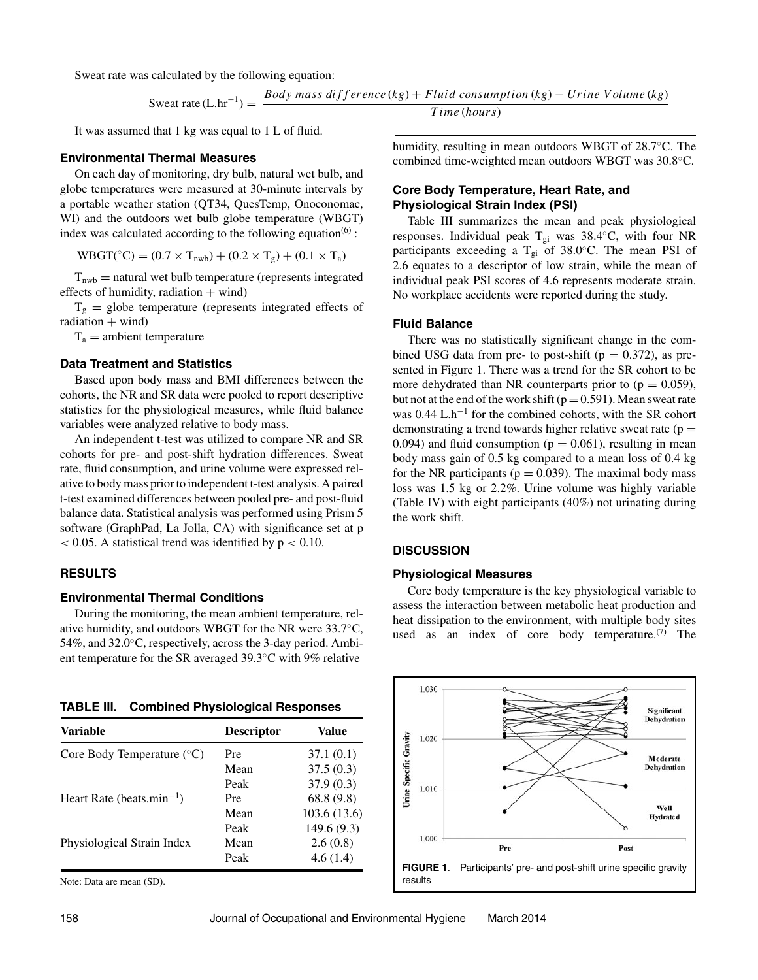Sweat rate was calculated by the following equation:

$$
Sweat rate (L/hr^{-1}) = \frac{Body mass difference (kg) + Fluid consumption (kg) - Urine Volume (kg)}{Time (hours)}
$$

It was assumed that 1 kg was equal to 1 L of fluid.

#### **Environmental Thermal Measures**

On each day of monitoring, dry bulb, natural wet bulb, and globe temperatures were measured at 30-minute intervals by a portable weather station (QT34, QuesTemp, Onoconomac, WI) and the outdoors wet bulb globe temperature (WBGT) index was calculated according to the following equation<sup> $(6)$ </sup>:

$$
WBGT(^{\circ}C) = (0.7 \times T_{nwb}) + (0.2 \times T_g) + (0.1 \times T_a)
$$

 $T<sub>nwb</sub>$  = natural wet bulb temperature (represents integrated effects of humidity, radiation  $+$  wind)

 $T_g$  = globe temperature (represents integrated effects of  $radiation + wind)$ 

 $T_a$  = ambient temperature

#### **Data Treatment and Statistics**

Based upon body mass and BMI differences between the cohorts, the NR and SR data were pooled to report descriptive statistics for the physiological measures, while fluid balance variables were analyzed relative to body mass.

An independent t-test was utilized to compare NR and SR cohorts for pre- and post-shift hydration differences. Sweat rate, fluid consumption, and urine volume were expressed relative to body mass prior to independent t-test analysis. A paired t-test examined differences between pooled pre- and post-fluid balance data. Statistical analysis was performed using Prism 5 software (GraphPad, La Jolla, CA) with significance set at p *<* 0.05. A statistical trend was identified by p *<* 0.10.

## **RESULTS**

#### **Environmental Thermal Conditions**

During the monitoring, the mean ambient temperature, relative humidity, and outdoors WBGT for the NR were 33.7◦C, 54%, and 32.0◦C, respectively, across the 3-day period. Ambient temperature for the SR averaged 39.3◦C with 9% relative

| TABLE III. |  |  |  | <b>Combined Physiological Responses</b> |
|------------|--|--|--|-----------------------------------------|
|------------|--|--|--|-----------------------------------------|

| Variable                              | <b>Descriptor</b> | Value        |
|---------------------------------------|-------------------|--------------|
| Core Body Temperature $(^{\circ}C)$   | Pre               | 37.1(0.1)    |
|                                       | Mean              | 37.5(0.3)    |
|                                       | Peak              | 37.9(0.3)    |
| Heart Rate (beats.min <sup>-1</sup> ) | Pre               | 68.8 (9.8)   |
|                                       | Mean              | 103.6 (13.6) |
|                                       | Peak              | 149.6(9.3)   |
| Physiological Strain Index            | Mean              | 2.6(0.8)     |
|                                       | Peak              | 4.6(1.4)     |

Note: Data are mean (SD).

*T ime* (*hours*)

humidity, resulting in mean outdoors WBGT of 28.7◦C. The combined time-weighted mean outdoors WBGT was 30.8◦C.

## **Core Body Temperature, Heart Rate, and Physiological Strain Index (PSI)**

Table III summarizes the mean and peak physiological responses. Individual peak T<sub>gi</sub> was 38.4<sup>°</sup>C, with four NR participants exceeding a T<sub>gi</sub> of 38.0 $\degree$ C. The mean PSI of 2.6 equates to a descriptor of low strain, while the mean of individual peak PSI scores of 4.6 represents moderate strain. No workplace accidents were reported during the study.

#### **Fluid Balance**

There was no statistically significant change in the combined USG data from pre- to post-shift ( $p = 0.372$ ), as presented in Figure 1. There was a trend for the SR cohort to be more dehydrated than NR counterparts prior to  $(p = 0.059)$ , but not at the end of the work shift ( $p = 0.591$ ). Mean sweat rate was 0.44 L.h−<sup>1</sup> for the combined cohorts, with the SR cohort demonstrating a trend towards higher relative sweat rate ( $p =$ 0.094) and fluid consumption ( $p = 0.061$ ), resulting in mean body mass gain of 0.5 kg compared to a mean loss of 0.4 kg for the NR participants ( $p = 0.039$ ). The maximal body mass loss was 1.5 kg or 2.2%. Urine volume was highly variable (Table IV) with eight participants (40%) not urinating during the work shift.

## **DISCUSSION**

#### **Physiological Measures**

Core body temperature is the key physiological variable to assess the interaction between metabolic heat production and heat dissipation to the environment, with multiple body sites used as an index of core body temperature. $(7)$  The

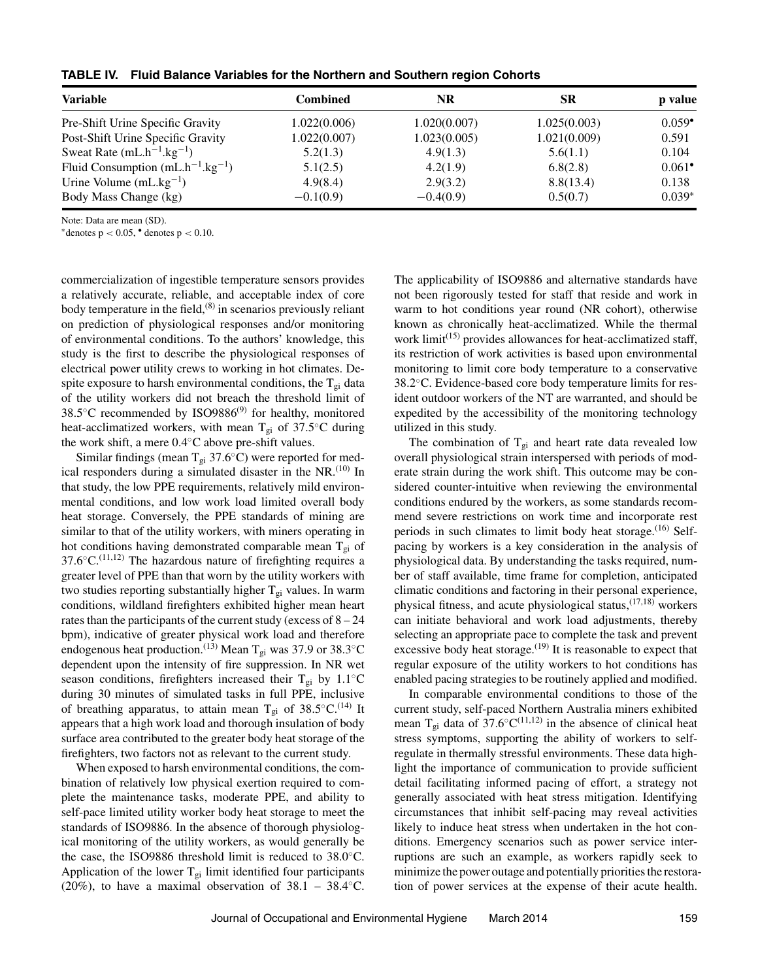| <b>Variable</b>                        | Combined     | <b>NR</b>    | SR           | p value              |
|----------------------------------------|--------------|--------------|--------------|----------------------|
| Pre-Shift Urine Specific Gravity       | 1.022(0.006) | 1.020(0.007) | 1.025(0.003) | $0.059^{\bullet}$    |
| Post-Shift Urine Specific Gravity      | 1.022(0.007) | 1.023(0.005) | 1.021(0.009) | 0.591                |
| Sweat Rate $(mL.h^{-1}kg^{-1})$        | 5.2(1.3)     | 4.9(1.3)     | 5.6(1.1)     | 0.104                |
| Fluid Consumption $(mL.h^{-1}kg^{-1})$ | 5.1(2.5)     | 4.2(1.9)     | 6.8(2.8)     | $0.061$ <sup>*</sup> |
| Urine Volume $(mL.kg^{-1})$            | 4.9(8.4)     | 2.9(3.2)     | 8.8(13.4)    | 0.138                |
| Body Mass Change (kg)                  | $-0.1(0.9)$  | $-0.4(0.9)$  | 0.5(0.7)     | $0.039*$             |

**TABLE IV. Fluid Balance Variables for the Northern and Southern region Cohorts**

Note: Data are mean (SD).

∗denotes p *<* 0.05, • denotes p *<* 0.10.

commercialization of ingestible temperature sensors provides a relatively accurate, reliable, and acceptable index of core body temperature in the field, $(8)$  in scenarios previously reliant on prediction of physiological responses and/or monitoring of environmental conditions. To the authors' knowledge, this study is the first to describe the physiological responses of electrical power utility crews to working in hot climates. Despite exposure to harsh environmental conditions, the  $T_{gi}$  data of the utility workers did not breach the threshold limit of 38.5 $°C$  recommended by ISO9886 $(9)$  for healthy, monitored heat-acclimatized workers, with mean T<sub>gi</sub> of 37.5<sup>°</sup>C during the work shift, a mere 0.4◦C above pre-shift values.

Similar findings (mean  $T_{gi}$  37.6 $°C$ ) were reported for medical responders during a simulated disaster in the NR.<sup>(10)</sup> In that study, the low PPE requirements, relatively mild environmental conditions, and low work load limited overall body heat storage. Conversely, the PPE standards of mining are similar to that of the utility workers, with miners operating in hot conditions having demonstrated comparable mean  $T_{gi}$  of  $37.6 °C$ .<sup>(11,12)</sup> The hazardous nature of firefighting requires a greater level of PPE than that worn by the utility workers with two studies reporting substantially higher  $T_{gi}$  values. In warm conditions, wildland firefighters exhibited higher mean heart rates than the participants of the current study (excess of  $8 - 24$ ) bpm), indicative of greater physical work load and therefore endogenous heat production.<sup>(13)</sup> Mean T<sub>gi</sub> was 37.9 or 38.3<sup>°</sup>C dependent upon the intensity of fire suppression. In NR wet season conditions, firefighters increased their T<sub>gi</sub> by  $1.1°C$ during 30 minutes of simulated tasks in full PPE, inclusive of breathing apparatus, to attain mean T<sub>gi</sub> of 38.5°C.<sup>(14)</sup> It appears that a high work load and thorough insulation of body surface area contributed to the greater body heat storage of the firefighters, two factors not as relevant to the current study.

When exposed to harsh environmental conditions, the combination of relatively low physical exertion required to complete the maintenance tasks, moderate PPE, and ability to self-pace limited utility worker body heat storage to meet the standards of ISO9886. In the absence of thorough physiological monitoring of the utility workers, as would generally be the case, the ISO9886 threshold limit is reduced to 38.0◦C. Application of the lower  $T_{gi}$  limit identified four participants (20%), to have a maximal observation of  $38.1 - 38.4 °C$ .

The applicability of ISO9886 and alternative standards have not been rigorously tested for staff that reside and work in warm to hot conditions year round (NR cohort), otherwise known as chronically heat-acclimatized. While the thermal work limit<sup>(15)</sup> provides allowances for heat-acclimatized staff, its restriction of work activities is based upon environmental monitoring to limit core body temperature to a conservative 38.2◦C. Evidence-based core body temperature limits for resident outdoor workers of the NT are warranted, and should be expedited by the accessibility of the monitoring technology utilized in this study.

The combination of  $T_{gi}$  and heart rate data revealed low overall physiological strain interspersed with periods of moderate strain during the work shift. This outcome may be considered counter-intuitive when reviewing the environmental conditions endured by the workers, as some standards recommend severe restrictions on work time and incorporate rest periods in such climates to limit body heat storage. $(16)$  Selfpacing by workers is a key consideration in the analysis of physiological data. By understanding the tasks required, number of staff available, time frame for completion, anticipated climatic conditions and factoring in their personal experience, physical fitness, and acute physiological status,(17,18) workers can initiate behavioral and work load adjustments, thereby selecting an appropriate pace to complete the task and prevent excessive body heat storage.<sup> $(19)$ </sup> It is reasonable to expect that regular exposure of the utility workers to hot conditions has enabled pacing strategies to be routinely applied and modified.

In comparable environmental conditions to those of the current study, self-paced Northern Australia miners exhibited mean T<sub>gi</sub> data of 37.6°C<sup>(11,12)</sup> in the absence of clinical heat stress symptoms, supporting the ability of workers to selfregulate in thermally stressful environments. These data highlight the importance of communication to provide sufficient detail facilitating informed pacing of effort, a strategy not generally associated with heat stress mitigation. Identifying circumstances that inhibit self-pacing may reveal activities likely to induce heat stress when undertaken in the hot conditions. Emergency scenarios such as power service interruptions are such an example, as workers rapidly seek to minimize the power outage and potentially priorities the restoration of power services at the expense of their acute health.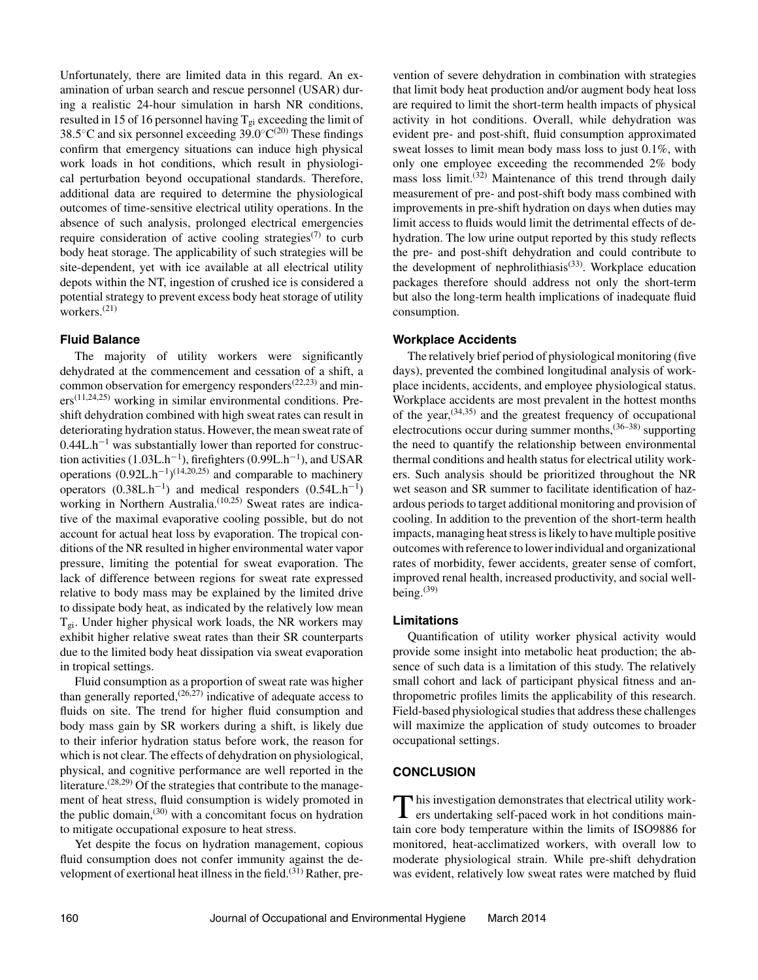Unfortunately, there are limited data in this regard. An examination of urban search and rescue personnel (USAR) during a realistic 24-hour simulation in harsh NR conditions, resulted in 15 of 16 personnel having  $T_{gi}$  exceeding the limit of 38.5 $°C$  and six personnel exceeding 39.0 $°C^{(20)}$  These findings confirm that emergency situations can induce high physical work loads in hot conditions, which result in physiological perturbation beyond occupational standards. Therefore, additional data are required to determine the physiological outcomes of time-sensitive electrical utility operations. In the absence of such analysis, prolonged electrical emergencies require consideration of active cooling strategies<sup> $(7)$ </sup> to curb body heat storage. The applicability of such strategies will be site-dependent, yet with ice available at all electrical utility depots within the NT, ingestion of crushed ice is considered a potential strategy to prevent excess body heat storage of utility workers. $(21)$ 

## **Fluid Balance**

The majority of utility workers were significantly dehydrated at the commencement and cessation of a shift, a common observation for emergency responders<sup> $(22,23)$ </sup> and min $ers^{(11,24,25)}$  working in similar environmental conditions. Preshift dehydration combined with high sweat rates can result in deteriorating hydration status. However, the mean sweat rate of  $0.44L.h^{-1}$  was substantially lower than reported for construction activities  $(1.03L.h^{-1})$ , firefighters  $(0.99L.h^{-1})$ , and USAR operations  $(0.92L \cdot h^{-1})$ <sup>(14,20,25)</sup> and comparable to machinery operators  $(0.38L.h^{-1})$  and medical responders  $(0.54L.h^{-1})$ working in Northern Australia.<sup>(10,25)</sup> Sweat rates are indicative of the maximal evaporative cooling possible, but do not account for actual heat loss by evaporation. The tropical conditions of the NR resulted in higher environmental water vapor pressure, limiting the potential for sweat evaporation. The lack of difference between regions for sweat rate expressed relative to body mass may be explained by the limited drive to dissipate body heat, as indicated by the relatively low mean  $T_{gi}$ . Under higher physical work loads, the NR workers may exhibit higher relative sweat rates than their SR counterparts due to the limited body heat dissipation via sweat evaporation in tropical settings.

Fluid consumption as a proportion of sweat rate was higher than generally reported,  $(26,27)$  indicative of adequate access to fluids on site. The trend for higher fluid consumption and body mass gain by SR workers during a shift, is likely due to their inferior hydration status before work, the reason for which is not clear. The effects of dehydration on physiological, physical, and cognitive performance are well reported in the literature.<sup> $(28,29)$ </sup> Of the strategies that contribute to the management of heat stress, fluid consumption is widely promoted in the public domain,<sup> $(30)$ </sup> with a concomitant focus on hydration to mitigate occupational exposure to heat stress.

Yet despite the focus on hydration management, copious fluid consumption does not confer immunity against the development of exertional heat illness in the field.<sup>(31)</sup> Rather, pre-

vention of severe dehydration in combination with strategies that limit body heat production and/or augment body heat loss are required to limit the short-term health impacts of physical activity in hot conditions. Overall, while dehydration was evident pre- and post-shift, fluid consumption approximated sweat losses to limit mean body mass loss to just 0.1%, with only one employee exceeding the recommended 2% body mass loss limit.<sup> $(32)$ </sup> Maintenance of this trend through daily measurement of pre- and post-shift body mass combined with improvements in pre-shift hydration on days when duties may limit access to fluids would limit the detrimental effects of dehydration. The low urine output reported by this study reflects the pre- and post-shift dehydration and could contribute to the development of nephrolithiasis<sup>(33)</sup>. Workplace education packages therefore should address not only the short-term but also the long-term health implications of inadequate fluid consumption.

## **Workplace Accidents**

The relatively brief period of physiological monitoring (five days), prevented the combined longitudinal analysis of workplace incidents, accidents, and employee physiological status. Workplace accidents are most prevalent in the hottest months of the year,  $(34,35)$  and the greatest frequency of occupational electrocutions occur during summer months,(36–38) supporting the need to quantify the relationship between environmental thermal conditions and health status for electrical utility workers. Such analysis should be prioritized throughout the NR wet season and SR summer to facilitate identification of hazardous periods to target additional monitoring and provision of cooling. In addition to the prevention of the short-term health impacts, managing heat stress is likely to have multiple positive outcomes with reference to lower individual and organizational rates of morbidity, fewer accidents, greater sense of comfort, improved renal health, increased productivity, and social wellbeing. $(39)$ 

## **Limitations**

Quantification of utility worker physical activity would provide some insight into metabolic heat production; the absence of such data is a limitation of this study. The relatively small cohort and lack of participant physical fitness and anthropometric profiles limits the applicability of this research. Field-based physiological studies that address these challenges will maximize the application of study outcomes to broader occupational settings.

## **CONCLUSION**

This investigation demonstrates that electrical utility work-<br>ers undertaking self-paced work in hot conditions maintain core body temperature within the limits of ISO9886 for monitored, heat-acclimatized workers, with overall low to moderate physiological strain. While pre-shift dehydration was evident, relatively low sweat rates were matched by fluid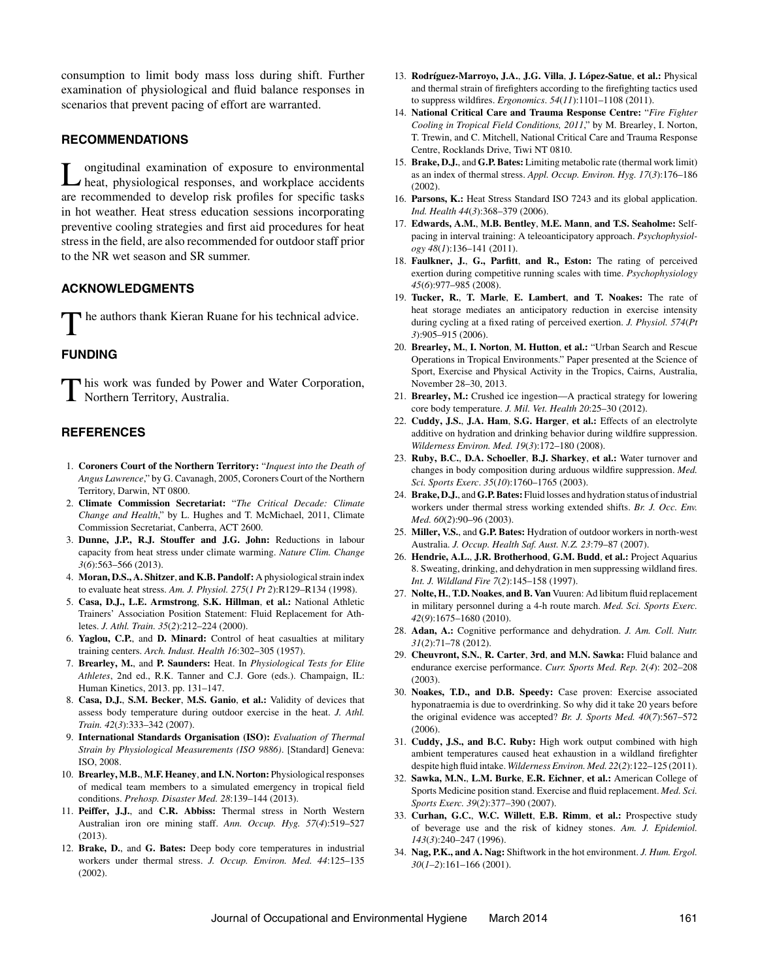consumption to limit body mass loss during shift. Further examination of physiological and fluid balance responses in scenarios that prevent pacing of effort are warranted.

#### **RECOMMENDATIONS**

Longitudinal examination of exposure to environmental heat, physiological responses, and workplace accidents are recommended to develop risk profiles for specific tasks in hot weather. Heat stress education sessions incorporating preventive cooling strategies and first aid procedures for heat stress in the field, are also recommended for outdoor staff prior to the NR wet season and SR summer.

## **ACKNOWLEDGMENTS**

he authors thank Kieran Ruane for his technical advice.

## **FUNDING**

This work was funded by Power and Water Corporation, **1** Northern Territory, Australia.

## **REFERENCES**

- 1. **Coroners Court of the Northern Territory:** "*Inquest into the Death of Angus Lawrence*," by G. Cavanagh, 2005, Coroners Court of the Northern Territory, Darwin, NT 0800.
- 2. **Climate Commission Secretariat:** "*The Critical Decade: Climate Change and Health*," by L. Hughes and T. McMichael, 2011, Climate Commission Secretariat, Canberra, ACT 2600.
- 3. **Dunne, J.P., R.J. Stouffer and J.G. John:** Reductions in labour capacity from heat stress under climate warming. *Nature Clim. Change 3*(*6*):563–566 (2013).
- 4. **Moran, D.S., A. Shitzer**, **and K.B. Pandolf:** A physiological strain index to evaluate heat stress. *Am. J. Physiol. 275*(*1 Pt 2*):R129–R134 (1998).
- 5. **Casa, D.J., L.E. Armstrong**, **S.K. Hillman**, **et al.:** National Athletic Trainers' Association Position Statement: Fluid Replacement for Athletes. *J. Athl. Train. 35*(*2*):212–224 (2000).
- 6. **Yaglou, C.P.**, and **D. Minard:** Control of heat casualties at military training centers. *Arch. Indust. Health 16*:302–305 (1957).
- 7. **Brearley, M.**, and **P. Saunders:** Heat. In *Physiological Tests for Elite Athletes*, 2nd ed., R.K. Tanner and C.J. Gore (eds.). Champaign, IL: Human Kinetics, 2013. pp. 131–147.
- 8. **Casa, D.J.**, **S.M. Becker**, **M.S. Ganio**, **et al.:** Validity of devices that assess body temperature during outdoor exercise in the heat. *J. Athl. Train. 42*(*3*):333–342 (2007).
- 9. **International Standards Organisation (ISO):** *Evaluation of Thermal Strain by Physiological Measurements (ISO 9886)*. [Standard] Geneva: ISO, 2008.
- 10. **Brearley, M.B.**, **M.F. Heaney**, **and I.N. Norton:** Physiological responses of medical team members to a simulated emergency in tropical field conditions. *Prehosp. Disaster Med. 28*:139–144 (2013).
- 11. **Peiffer, J.J.**, and **C.R. Abbiss:** Thermal stress in North Western Australian iron ore mining staff. *Ann. Occup. Hyg. 57*(*4*):519–527 (2013).
- 12. **Brake, D.**, and **G. Bates:** Deep body core temperatures in industrial workers under thermal stress. *J. Occup. Environ. Med. 44*:125–135 (2002).
- 13. Rodríguez-Marroyo, J.A., J.G. Villa, J. López-Satue, et al.: Physical and thermal strain of firefighters according to the firefighting tactics used to suppress wildfires. *Ergonomics*. *54*(*11*):1101–1108 (2011).
- 14. **National Critical Care and Trauma Response Centre:** "*Fire Fighter Cooling in Tropical Field Conditions, 2011*," by M. Brearley, I. Norton, T. Trewin, and C. Mitchell, National Critical Care and Trauma Response Centre, Rocklands Drive, Tiwi NT 0810.
- 15. **Brake, D.J.**, and **G.P. Bates:** Limiting metabolic rate (thermal work limit) as an index of thermal stress. *Appl. Occup. Environ. Hyg. 17*(*3*):176–186 (2002).
- 16. **Parsons, K.:** Heat Stress Standard ISO 7243 and its global application. *Ind. Health 44*(*3*):368–379 (2006).
- 17. **Edwards, A.M.**, **M.B. Bentley**, **M.E. Mann**, **and T.S. Seaholme:** Selfpacing in interval training: A teleoanticipatory approach. *Psychophysiology 48*(*1*):136–141 (2011).
- 18. **Faulkner, J.**, **G., Parfitt**, **and R., Eston:** The rating of perceived exertion during competitive running scales with time. *Psychophysiology 45*(*6*):977–985 (2008).
- 19. **Tucker, R.**, **T. Marle**, **E. Lambert**, **and T. Noakes:** The rate of heat storage mediates an anticipatory reduction in exercise intensity during cycling at a fixed rating of perceived exertion. *J. Physiol. 574*(*Pt 3*):905–915 (2006).
- 20. **Brearley, M.**, **I. Norton**, **M. Hutton**, **et al.:** "Urban Search and Rescue Operations in Tropical Environments." Paper presented at the Science of Sport, Exercise and Physical Activity in the Tropics, Cairns, Australia, November 28–30, 2013.
- 21. **Brearley, M.:** Crushed ice ingestion—A practical strategy for lowering core body temperature. *J. Mil. Vet. Health 20*:25–30 (2012).
- 22. **Cuddy, J.S.**, **J.A. Ham**, **S.G. Harger**, **et al.:** Effects of an electrolyte additive on hydration and drinking behavior during wildfire suppression. *Wilderness Environ. Med. 19*(*3*):172–180 (2008).
- 23. **Ruby, B.C.**, **D.A. Schoeller**, **B.J. Sharkey**, **et al.:** Water turnover and changes in body composition during arduous wildfire suppression. *Med. Sci. Sports Exerc*. *35*(*10*):1760–1765 (2003).
- 24. **Brake, D.J.**, and**G.P. Bates:** Fluid losses and hydration status of industrial workers under thermal stress working extended shifts. *Br. J. Occ. Env. Med. 60*(*2*):90–96 (2003).
- 25. **Miller, V.S.**, and **G.P. Bates:** Hydration of outdoor workers in north-west Australia. *J. Occup. Health Saf. Aust. N.Z. 23*:79–87 (2007).
- 26. **Hendrie, A.L.**, **J.R. Brotherhood**, **G.M. Budd**, **et al.:** Project Aquarius 8. Sweating, drinking, and dehydration in men suppressing wildland fires. *Int. J. Wildland Fire 7*(*2*):145–158 (1997).
- 27. **Nolte, H.**,**T.D. Noakes**, **and B. Van** Vuuren: Ad libitum fluid replacement in military personnel during a 4-h route march. *Med. Sci. Sports Exerc. 42*(*9*):1675–1680 (2010).
- 28. **Adan, A.:** Cognitive performance and dehydration. *J. Am. Coll. Nutr. 31*(*2*):71–78 (2012).
- 29. **Cheuvront, S.N.**, **R. Carter**, **3rd**, **and M.N. Sawka:** Fluid balance and endurance exercise performance. *Curr. Sports Med. Rep. 2*(*4*): 202–208 (2003).
- 30. **Noakes, T.D., and D.B. Speedy:** Case proven: Exercise associated hyponatraemia is due to overdrinking. So why did it take 20 years before the original evidence was accepted? *Br. J. Sports Med. 40*(*7*):567–572 (2006).
- 31. **Cuddy, J.S., and B.C. Ruby:** High work output combined with high ambient temperatures caused heat exhaustion in a wildland firefighter despite high fluid intake. *Wilderness Environ. Med. 22*(*2*):122–125 (2011).
- 32. **Sawka, M.N.**, **L.M. Burke**, **E.R. Eichner**, **et al.:** American College of Sports Medicine position stand. Exercise and fluid replacement. *Med. Sci. Sports Exerc. 39*(*2*):377–390 (2007).
- 33. **Curhan, G.C.**, **W.C. Willett**, **E.B. Rimm**, **et al.:** Prospective study of beverage use and the risk of kidney stones. *Am. J. Epidemiol. 143*(*3*):240–247 (1996).
- 34. **Nag, P.K., and A. Nag:** Shiftwork in the hot environment. *J. Hum. Ergol. 30*(*1–2*):161–166 (2001).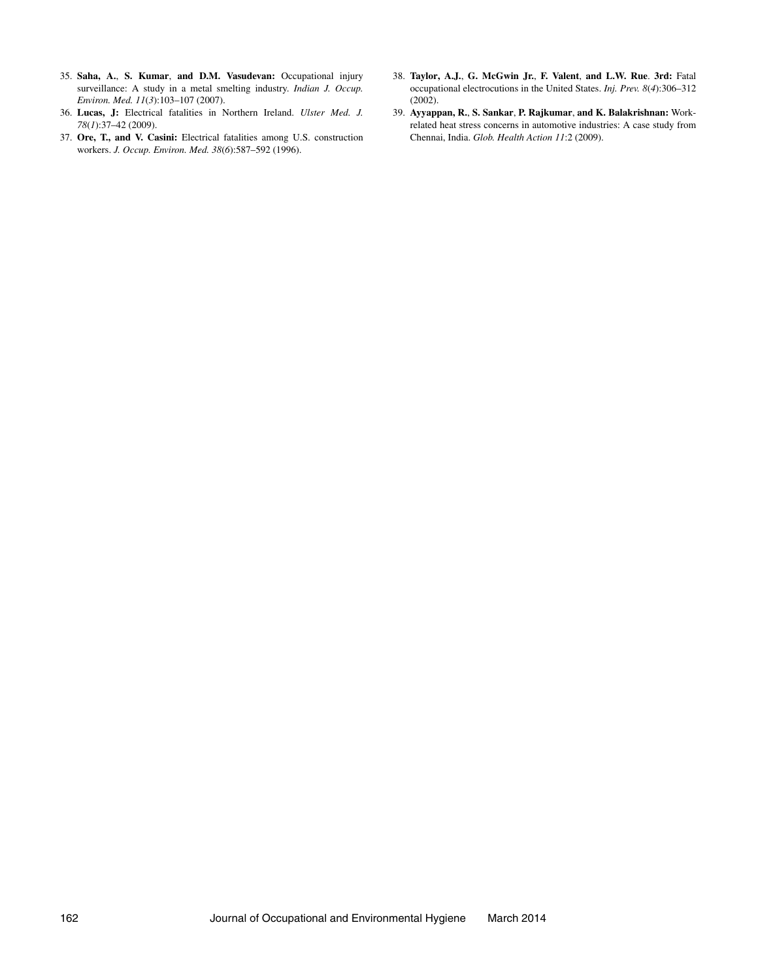- 35. **Saha, A.**, **S. Kumar**, **and D.M. Vasudevan:** Occupational injury surveillance: A study in a metal smelting industry. *Indian J. Occup. Environ. Med. 11*(*3*):103–107 (2007).
- 36. **Lucas, J:** Electrical fatalities in Northern Ireland. *Ulster Med. J. 78*(*1*):37–42 (2009).
- 37. **Ore, T., and V. Casini:** Electrical fatalities among U.S. construction workers. *J. Occup. Environ. Med. 38*(*6*):587–592 (1996).
- 38. **Taylor, A.J.**, **G. McGwin Jr.**, **F. Valent**, **and L.W. Rue**. **3rd:** Fatal occupational electrocutions in the United States. *Inj. Prev. 8*(*4*):306–312 (2002).
- 39. **Ayyappan, R.**, **S. Sankar**, **P. Rajkumar**, **and K. Balakrishnan:** Workrelated heat stress concerns in automotive industries: A case study from Chennai, India. *Glob. Health Action 11*:2 (2009).